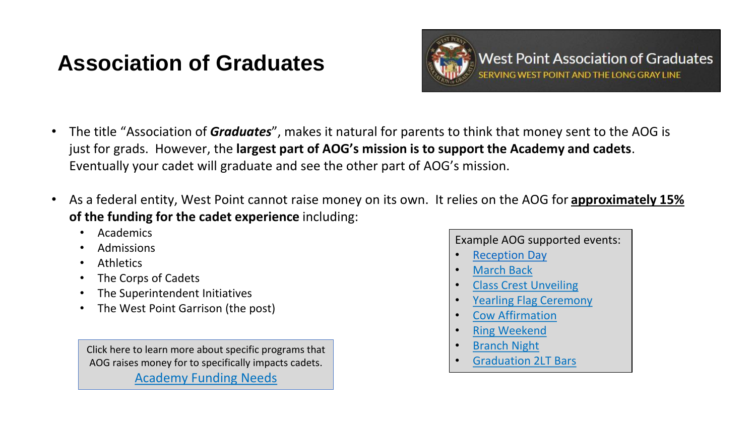## **Association of Graduates**



- The title "Association of *Graduates*", makes it natural for parents to think that money sent to the AOG is just for grads. However, the **largest part of AOG's mission is to support the Academy and cadets**. Eventually your cadet will graduate and see the other part of AOG's mission.
- As a federal entity, West Point cannot raise money on its own. It relies on the AOG for **[approximately 15%](https://www.westpointaog.org/GiveToWestPoint)  of the funding for the cadet experience** including:
	- Academics
	- Admissions
	- **Athletics**
	- The Corps of Cadets
	- The Superintendent Initiatives
	- The West Point Garrison (the post)

Click here to learn more about specific programs that AOG raises money for to specifically impacts cadets. [Academy Funding Needs](https://www.westpointaog.org/academy-funding-needs)

Example AOG supported events:

- **[Reception Day](http://www.westpointaog.org/receptionday)**
- [March Back](http://www.westpointaog.org/GradMarchback)
- [Class Crest Unveiling](http://www.westpointaog.org/crestunveiling)
- [Yearling Flag Ceremony](http://www.westpointaog.org/yearlingflag)
- [Cow Affirmation](http://www.westpointaog.org/cowaffirmation)
- [Ring Weekend](http://www.westpointaog.org/page.aspx?pid=2684)
- [Branch Night](http://www.westpointaog.org/BranchNotification)
- [Graduation 2LT Bars](http://www.westpointaog.org/page.aspx?pid=2686)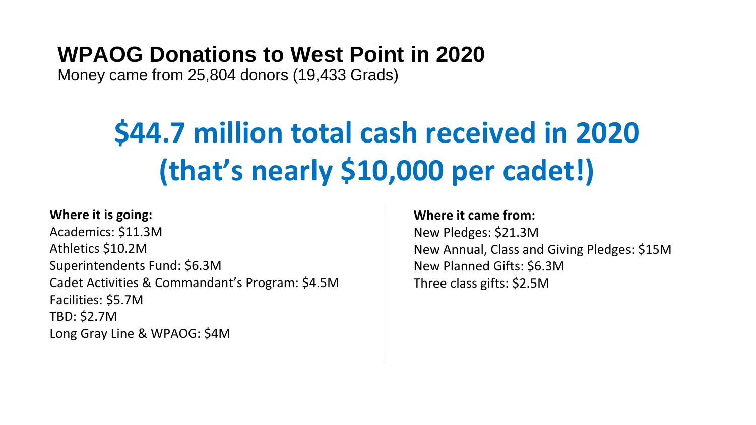## **WPAOG Donations to West Point in 2020**

Money came from 25,804 donors (19,433 Grads)

# **\$44.7 million total cash received in 2020 (that's nearly \$10,000 per cadet!)**

### **Where it is going:**

Academics: \$11.3M Athletics \$10.2M Superintendents Fund: \$6.3M Cadet Activities & Commandant's Program: \$4.5M Facilities: \$5.7M TBD: \$2.7M Long Gray Line & WPAOG: \$4M

#### **Where it came from:**

New Pledges: \$21.3M New Annual, Class and Giving Pledges: \$15M New Planned Gifts: \$6.3M Three class gifts: \$2.5M